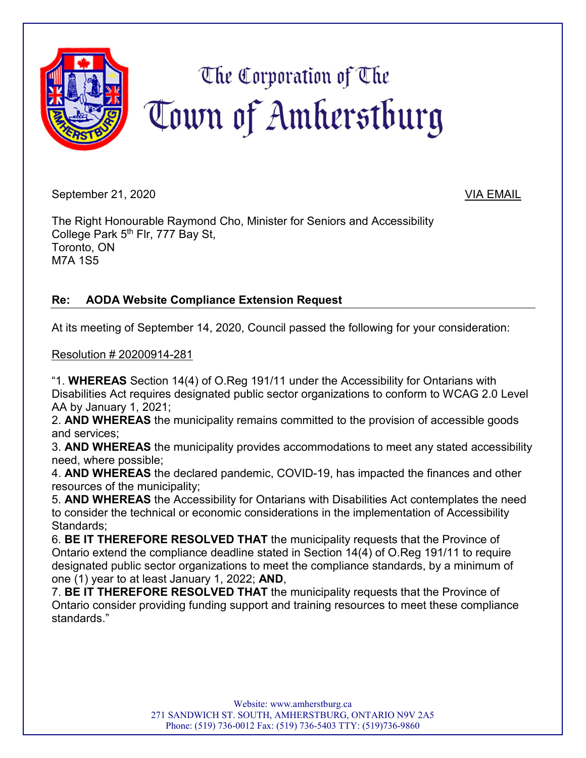

September 21, 2020 VIA EMAIL

The Right Honourable Raymond Cho, Minister for Seniors and Accessibility College Park 5<sup>th</sup> Flr, 777 Bay St, Toronto, ON M7A 1S5

## **Re: AODA Website Compliance Extension Request**

At its meeting of September 14, 2020, Council passed the following for your consideration:

Resolution # 20200914-281

"1. **WHEREAS** Section 14(4) of O.Reg 191/11 under the Accessibility for Ontarians with Disabilities Act requires designated public sector organizations to conform to WCAG 2.0 Level AA by January 1, 2021;

2. **AND WHEREAS** the municipality remains committed to the provision of accessible goods and services;

3. **AND WHEREAS** the municipality provides accommodations to meet any stated accessibility need, where possible;

4. **AND WHEREAS** the declared pandemic, COVID-19, has impacted the finances and other resources of the municipality;

5. **AND WHEREAS** the Accessibility for Ontarians with Disabilities Act contemplates the need to consider the technical or economic considerations in the implementation of Accessibility Standards;

6. **BE IT THEREFORE RESOLVED THAT** the municipality requests that the Province of Ontario extend the compliance deadline stated in Section 14(4) of O.Reg 191/11 to require designated public sector organizations to meet the compliance standards, by a minimum of one (1) year to at least January 1, 2022; **AND**,

7. **BE IT THEREFORE RESOLVED THAT** the municipality requests that the Province of Ontario consider providing funding support and training resources to meet these compliance standards."